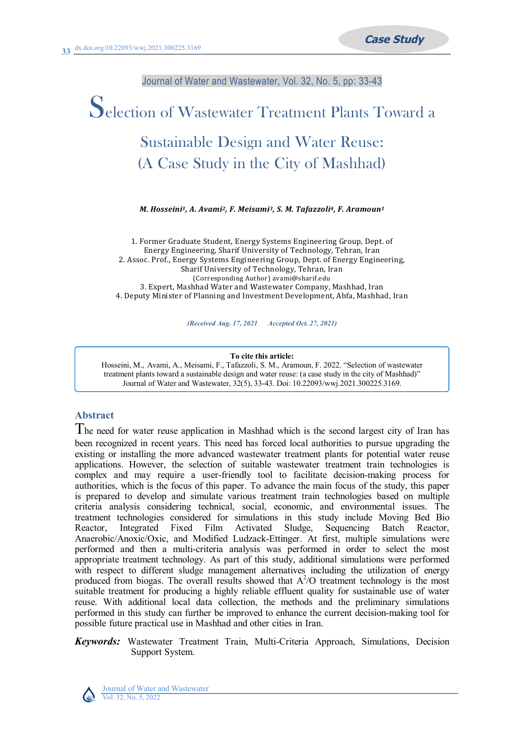Journal of Water and Wastewater, Vol. 32, No. 5, pp: 33-43

# Selection of Wastewater Treatment Plants Toward a Sustainable Design and Water Reuse: (A Case Study in the City of Mashhad)

*M. Hosseini1, A. Avami2, F. Meisami3, S. M. Tafazzoli4, F. Aramoun<sup>1</sup>*

1. Former Graduate Student, Energy Systems Engineering Group, Dept. of Energy Engineering, Sharif University of Technology, Tehran, Iran 2. Assoc. Prof., Energy Systems Engineering Group, Dept. of Energy Engineering, Sharif University of Technology, Tehran, Iran (Corresponding Author) avami@sharif.edu 3. Expert, Mashhad Water and Wastewater Company, Mashhad, Iran 4. Deputy Minister of Planning and Investment Development, Abfa, Mashhad, Iran

*(Received Aug. 17, 2021 Accepted Oct. 27, 2021)*

#### **To cite this article:**

Hosseini, M., Avami, A., Meisami, F., Tafazzoli, S. M., Aramoun, F. 2022. "Selection of wastewater treatment plants toward a sustainable design and water reuse: (a case study in the city of Mashhad)" Journal of Water and Wastewater, 32(5), 33-43. Doi: 10.22093/wwj.2021.300225.3169.

## **Abstract**

The need for water reuse application in Mashhad which is the second largest city of Iran has been recognized in recent years. This need has forced local authorities to pursue upgrading the existing or installing the more advanced wastewater treatment plants for potential water reuse applications. However, the selection of suitable wastewater treatment train technologies is complex and may require a user-friendly tool to facilitate decision-making process for authorities, which is the focus of this paper. To advance the main focus of the study, this paper is prepared to develop and simulate various treatment train technologies based on multiple criteria analysis considering technical, social, economic, and environmental issues. The treatment technologies considered for simulations in this study include Moving Bed Bio Reactor, Integrated Fixed Film Activated Sludge, Sequencing Batch Reactor, Anaerobic/Anoxic/Oxic, and Modified Ludzack-Ettinger. At first, multiple simulations were performed and then a multi-criteria analysis was performed in order to select the most appropriate treatment technology. As part of this study, additional simulations were performed with respect to different sludge management alternatives including the utilization of energy produced from biogas. The overall results showed that  $A^2/O$  treatment technology is the most suitable treatment for producing a highly reliable effluent quality for sustainable use of water reuse. With additional local data collection, the methods and the preliminary simulations performed in this study can further be improved to enhance the current decision-making tool for possible future practical use in Mashhad and other cities in Iran.

## *Keywords:* Wastewater Treatment Train, Multi-Criteria Approach, Simulations, Decision Support System.



Journal of Water and Wastewater Vol. 32, No. 5, 2022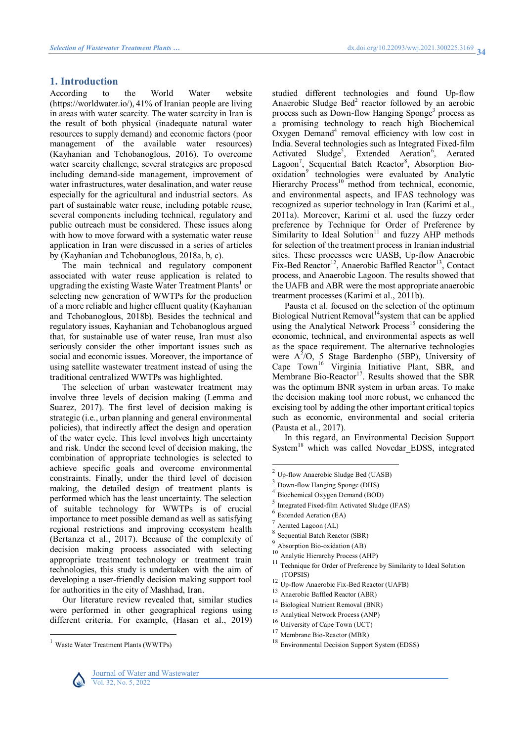### **1. Introduction**

According to the World Water website (https://worldwater.io/), 41% of Iranian people are living in areas with water scarcity. The water scarcity in Iran is the result of both physical (inadequate natural water resources to supply demand) and economic factors (poor management of the available water resources) (Kayhanian and Tchobanoglous, 2016). To overcome water scarcity challenge, several strategies are proposed including demand-side management, improvement of water infrastructures, water desalination, and water reuse especially for the agricultural and industrial sectors. As part of sustainable water reuse, including potable reuse, several components including technical, regulatory and public outreach must be considered. These issues along with how to move forward with a systematic water reuse application in Iran were discussed in a series of articles by (Kayhanian and Tchobanoglous, 2018a, b, c).

The main technical and regulatory component associated with water reuse application is related to upgrading the existing Waste Water Treatment [Plants](#page-1-0)<sup>1</sup> or selecting new generation of WWTPs for the production of a more reliable and higher effluent quality (Kayhanian and Tchobanoglous, 2018b). Besides the technical and regulatory issues, Kayhanian and Tchobanoglous argued that, for sustainable use of water reuse, Iran must also seriously consider the other important issues such as social and economic issues. Moreover, the importance of using satellite wastewater treatment instead of using the traditional centralized WWTPs was highlighted.

The selection of urban wastewater treatment may involve three levels of decision making (Lemma and Suarez, 2017). The first level of decision making is strategic (i.e., urban planning and general environmental policies), that indirectly affect the design and operation of the water cycle. This level involves high uncertainty and risk. Under the second level of decision making, the combination of appropriate technologies is selected to achieve specific goals and overcome environmental constraints. Finally, under the third level of decision making, the detailed design of treatment plants is performed which has the least uncertainty. The selection of suitable technology for WWTPs is of crucial importance to meet possible demand as well as satisfying regional restrictions and improving ecosystem health (Bertanza et al., 2017). Because of the complexity of decision making process associated with selecting appropriate treatment technology or treatment train technologies, this study is undertaken with the aim of developing a user-friendly decision making support tool for authorities in the city of Mashhad, Iran.

Our literature review revealed that, similar studies were performed in other geographical regions using different criteria. For example, (Hasan et al., 2019)

studied different technologies and found Up-flow Anaerobic Sludge [Bed](#page-1-1)<sup>2</sup> reactor followed by an aerobic process such as Down-flow Hanging [Sponge](#page-1-2)<sup>3</sup> process as a promising technology to reach high Biochemical Oxygen [Demand](#page-1-3)<sup>4</sup> removal efficiency with low cost in India. Several technologies such as Integrated Fixed-film Activated [Sludge](#page-1-4)<sup>5</sup>, Extended [Aeration](#page-1-5)<sup>6</sup>, Aerated [Lagoon](#page-1-6)<sup>7</sup>, Sequential Batch [Reactor](#page-1-7)<sup>8</sup>, Absorption Bio[oxidation](#page-1-8)<sup>9</sup> technologies were evaluated by Analytic Hierarchy [Process](#page-1-9)<sup>10</sup> method from technical, economic, and environmental aspects, and IFAS technology was recognized as superior technology in Iran (Karimi et al., 2011a). Moreover, Karimi et al. used the fuzzy order preference by Technique for Order of Preference by Similarity to Ideal [Solution](#page-1-10)<sup>11</sup> and fuzzy AHP methods for selection of the treatment process in Iranian industrial sites. These processes were UASB, Up-flow Anaerobic Fix-Bed [Reactor](#page-1-11)<sup>12</sup>, Anaerobic Baffled [Reactor](#page-1-12)<sup>13</sup>, Contact process, and Anaerobic Lagoon. The results showed that the UAFB and ABR were the most appropriate anaerobic treatment processes (Karimi et al., 2011b).

Pausta et al. focused on the selection of the optimum Biological Nutrient [Removal](#page-1-13)<sup>14</sup> system that can be applied using the Analytical Network  $\overline{P}$ rocess<sup>15</sup> considering the economic, technical, and environmental aspects as well as the space requirement. The alternative technologies were  $A^2$ /O, 5 Stage Bardenpho (5BP), University of Cape [Town](#page-1-15)<sup>16</sup> Virginia Initiative Plant, SBR, and Membrane Bio-[Reactor](#page-1-16)<sup>17</sup>. Results showed that the SBR was the optimum BNR system in urban areas. To make the decision making tool more robust, we enhanced the excising tool by adding the other important critical topics such as economic, environmental and social criteria (Pausta et al., 2017).

In this regard, an Environmental Decision Support [System](#page-1-17)<sup>18</sup> which was called Novedar EDSS, integrated

<span id="page-1-2"></span>3 Down-flow Hanging Sponge (DHS) 4

- <span id="page-1-3"></span>Biochemical Oxygen Demand (BOD)
- <span id="page-1-4"></span>5 Integrated Fixed-film Activated Sludge (IFAS)
- <span id="page-1-5"></span><sup>6</sup> Extended Aeration (EA)
- <span id="page-1-6"></span>Aerated Lagoon (AL)

 $\overline{a}$ 

<span id="page-1-7"></span>8 Sequential Batch Reactor (SBR)

- <span id="page-1-9"></span><sup>10</sup> Analytic Hierarchy Process (AHP)
- <span id="page-1-10"></span>Technique for Order of Preference by Similarity to Ideal Solution (TOPSIS)
- <span id="page-1-11"></span><sup>12</sup> Up-flow Anaerobic Fix-Bed Reactor (UAFB)
- <span id="page-1-12"></span><sup>13</sup> Anaerobic Baffled Reactor (ABR)
- <span id="page-1-13"></span><sup>14</sup> Biological Nutrient Removal (BNR)
- <span id="page-1-14"></span><sup>15</sup> Analytical Network Process (ANP)
- <span id="page-1-15"></span><sup>16</sup> University of Cape Town (UCT)
- <span id="page-1-16"></span><sup>17</sup> Membrane Bio-Reactor (MBR)
- <span id="page-1-17"></span><sup>18</sup> Environmental Decision Support System (EDSS)



 $\overline{a}$ 

<span id="page-1-0"></span>Waste Water Treatment Plants (WWTPs)

<span id="page-1-1"></span><sup>&</sup>lt;sup>2</sup> Up-flow Anaerobic Sludge Bed (UASB)

<span id="page-1-8"></span><sup>9</sup> Absorption Bio-oxidation (AB)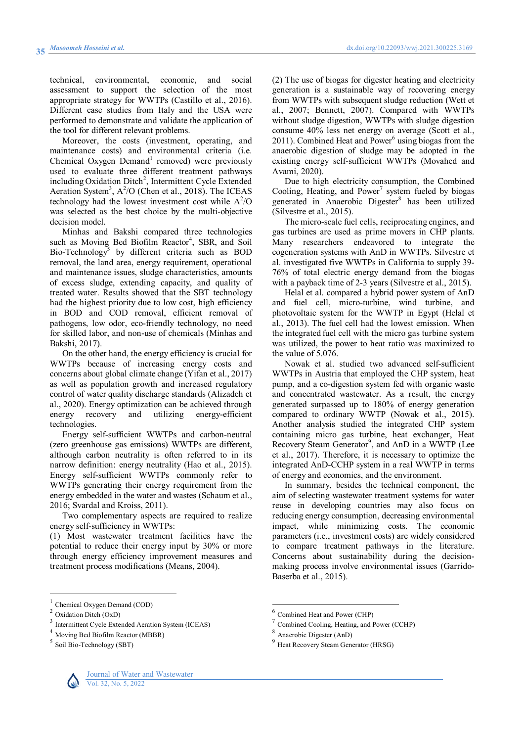technical, environmental, economic, and social assessment to support the selection of the most appropriate strategy for WWTPs (Castillo et al., 2016). Different case studies from Italy and the USA were performed to demonstrate and validate the application of the tool for different relevant problems.

Moreover, the costs (investment, operating, and maintenance costs) and environmental criteria (i.e. Chemical Oxygen [Demand](#page-2-0)<sup>1</sup> removed) were previously used to evaluate three different treatment pathways including Oxidation [Ditch](#page-2-1)<sup>2</sup>, Intermittent Cycle Extended Aeration [System](#page-2-2)<sup>3</sup>,  $A^2$ /O (Chen et al., 2018). The ICEAS technology had the lowest investment cost while  $A^2/O$ was selected as the best choice by the multi-objective decision model.

Minhas and Bakshi compared three technologies such as Moving Bed Biofilm [Reactor](#page-2-3)<sup>4</sup>, SBR, and Soil Bio[-Technology](#page-2-4)<sup>5</sup> by different criteria such as BOD removal, the land area, energy requirement, operational and maintenance issues, sludge characteristics, amounts of excess sludge, extending capacity, and quality of treated water. Results showed that the SBT technology had the highest priority due to low cost, high efficiency in BOD and COD removal, efficient removal of pathogens, low odor, eco-friendly technology, no need for skilled labor, and non-use of chemicals (Minhas and Bakshi, 2017).

On the other hand, the energy efficiency is crucial for WWTPs because of increasing energy costs and concerns about global climate change (Yifan et al., 2017) as well as population growth and increased regulatory control of water quality discharge standards (Alizadeh et al., 2020). Energy optimization can be achieved through energy recovery and utilizing energy-efficient technologies.

Energy self-sufficient WWTPs and carbon-neutral (zero greenhouse gas emissions) WWTPs are different, although carbon neutrality is often referred to in its narrow definition: energy neutrality (Hao et al., 2015). Energy self-sufficient WWTPs commonly refer to WWTPs generating their energy requirement from the energy embedded in the water and wastes (Schaum et al., 2016; Svardal and Kroiss, 2011).

Two complementary aspects are required to realize energy self-sufficiency in WWTPs:

(1) Most wastewater treatment facilities have the potential to reduce their energy input by 30% or more through energy efficiency improvement measures and treatment process modifications ([Means, 2004\)](#page-9-0).

(2) The use of biogas for digester heating and electricity generation is a sustainable way of recovering energy from WWTPs with subsequent sludge reduction (Wett et al., 2007; Bennett, 2007). Compared with WWTPs without sludge digestion, WWTPs with sludge digestion consume 40% less net energy on average (Scott et al., 2011). Combined Heat and [Power](#page-2-5)<sup>6</sup> using biogas from the anaerobic digestion of sludge may be adopted in the existing energy self-sufficient WWTPs (Movahed and Avami, 2020).

Due to high electricity consumption, the Combined Cooling, Heating, and  $Power<sup>7</sup>$  system fueled by biogas generated in Anaerobic [Digester](#page-2-7)<sup>8</sup> has been utilized (Silvestre et al., 2015).

The micro-scale fuel cells, reciprocating engines, and gas turbines are used as prime movers in CHP plants. Many researchers endeavored to integrate the cogeneration systems with AnD in WWTPs. Silvestre et al. investigated five WWTPs in California to supply 39- 76% of total electric energy demand from the biogas with a payback time of 2-3 years (Silvestre et al., 2015).

Helal et al. compared a hybrid power system of AnD and fuel cell, micro-turbine, wind turbine, and photovoltaic system for the WWTP in Egypt (Helal et al., 2013). The fuel cell had the lowest emission. When the integrated fuel cell with the micro gas turbine system was utilized, the power to heat ratio was maximized to the value of 5.076.

Nowak et al. studied two advanced self-sufficient WWTPs in Austria that employed the CHP system, heat pump, and a co-digestion system fed with organic waste and concentrated wastewater. As a result, the energy generated surpassed up to 180% of energy generation compared to ordinary WWTP (Nowak et al., 2015). Another analysis studied the integrated CHP system containing micro gas turbine, heat exchanger, Heat Recovery Steam [Generator](#page-2-8)<sup>9</sup>, and AnD in a WWTP (Lee et al., 2017). Therefore, it is necessary to optimize the integrated AnD-CCHP system in a real WWTP in terms of energy and economics, and the environment.

In summary, besides the technical component, the aim of selecting wastewater treatment systems for water reuse in developing countries may also focus on reducing energy consumption, decreasing environmental impact, while minimizing costs. The economic parameters (i.e., investment costs) are widely considered to compare treatment pathways in the literature. Concerns about sustainability during the decisionmaking process involve environmental issues (Garrido-Baserba et al., 2015).

 $\overline{a}$ 



 $\overline{a}$ 

<span id="page-2-0"></span><sup>1</sup> Chemical Oxygen Demand (COD)

<span id="page-2-1"></span><sup>2</sup> Oxidation Ditch (OxD)

<span id="page-2-2"></span><sup>3</sup> Intermittent Cycle Extended Aeration System (ICEAS)

<span id="page-2-3"></span><sup>4</sup> Moving Bed Biofilm Reactor (MBBR)

<span id="page-2-4"></span><sup>5</sup> Soil Bio-Technology (SBT)

<span id="page-2-5"></span><sup>&</sup>lt;sup>6</sup> Combined Heat and Power (CHP)

<span id="page-2-6"></span> $^7$  Combined Cooling, Heating, and Power (CCHP)

<span id="page-2-7"></span>Anaerobic Digester (AnD)

<span id="page-2-8"></span> $^{9}$  Heat Recovery Steam Generator (HRSG)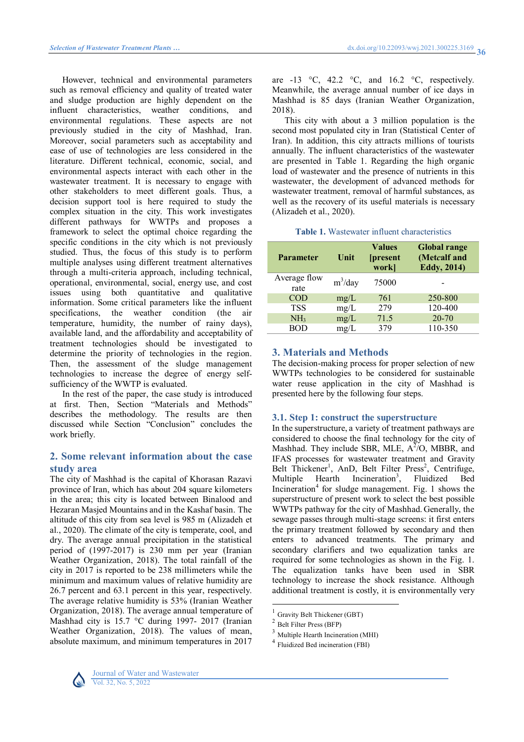However, technical and environmental parameters such as removal efficiency and quality of treated water and sludge production are highly dependent on the influent characteristics, weather conditions, and environmental regulations. These aspects are not previously studied in the city of Mashhad, Iran. Moreover, social parameters such as acceptability and ease of use of technologies are less considered in the literature. Different technical, economic, social, and environmental aspects interact with each other in the wastewater treatment. It is necessary to engage with other stakeholders to meet different goals. Thus, a decision support tool is here required to study the complex situation in the city. This work investigates different pathways for WWTPs and proposes a framework to select the optimal choice regarding the specific conditions in the city which is not previously studied. Thus, the focus of this study is to perform multiple analyses using different treatment alternatives through a multi-criteria approach, including technical, operational, environmental, social, energy use, and cost issues using both quantitative and qualitative information. Some critical parameters like the influent specifications, the weather condition (the air temperature, humidity, the number of rainy days), available land, and the affordability and acceptability of treatment technologies should be investigated to determine the priority of technologies in the region. Then, the assessment of the sludge management technologies to increase the degree of energy selfsufficiency of the WWTP is evaluated.

In the rest of the paper, the case study is introduced at first. Then, Section "Materials and Methods" describes the methodology. The results are then discussed while Section "Conclusion" concludes the work briefly.

## **2. Some relevant information about the case study area**

The city of Mashhad is the capital of Khorasan Razavi province of Iran, which has about 204 square kilometers in the area; this city is located between Binalood and Hezaran Masjed Mountains and in the Kashaf basin. The altitude of this city from sea level is 985 m (Alizadeh et al., 2020). The climate of the city is temperate, cool, and dry. The average annual precipitation in the statistical period of (1997-2017) is 230 mm per year (Iranian Weather Organization, 2018). The total rainfall of the city in 2017 is reported to be 238 millimeters while the minimum and maximum values of relative humidity are 26.7 percent and 63.1 percent in this year, respectively. The average relative humidity is 53% (Iranian Weather Organization, 2018). The average annual temperature of Mashhad city is 15.7 °C during 1997- 2017 (Iranian Weather Organization, 2018). The values of mean, absolute maximum, and minimum temperatures in 2017

are -13  $\degree$ C, 42.2  $\degree$ C, and 16.2  $\degree$ C, respectively. Meanwhile, the average annual number of ice days in Mashhad is 85 days (Iranian Weather Organization, 2018).

This city with about a 3 million population is the second most populated city in Iran (Statistical Center of Iran). In addition, this city attracts millions of tourists annually. The influent characteristics of the wastewater are presented in Table 1. Regarding the high organic load of wastewater and the presence of nutrients in this wastewater, the development of advanced methods for wastewater treatment, removal of harmful substances, as well as the recovery of its useful materials is necessary (Alizadeh et al., 2020).

## **Table 1.** Wastewater influent characteristics

| <b>Parameter</b>     | Unit       | <b>Values</b><br><i><u><b>[present]</b></u></i><br>work] | <b>Global range</b><br>(Metcalf and<br><b>Eddy</b> , 2014) |
|----------------------|------------|----------------------------------------------------------|------------------------------------------------------------|
| Average flow<br>rate | $m^3$ /day | 75000                                                    |                                                            |
| <b>COD</b>           | mg/L       | 761                                                      | 250-800                                                    |
| <b>TSS</b>           | mg/L       | 279                                                      | 120-400                                                    |
| NH <sub>3</sub>      | mg/L       | 71.5                                                     | $20 - 70$                                                  |
| <b>BOD</b>           | mg/L       | 379                                                      | 110-350                                                    |

## **3. Materials and Methods**

The decision-making process for proper selection of new WWTPs technologies to be considered for sustainable water reuse application in the city of Mashhad is presented here by the following four steps.

## **3.1. Step 1: construct the superstructure**

In the superstructure, a variety of treatment pathways are considered to choose the final technology for the city of Mashhad. They include SBR, MLE,  $A^2$ /O, MBBR, and IFAS processes for wastewater treatment and Gravity Belt [Thickener](#page-3-0)<sup>1</sup>, AnD, Belt Filter [Press](#page-3-1)<sup>2</sup>, Centrifuge, Multiple Hearth [Incineration](#page-3-2)<sup>3</sup>, Fluidized Bed [Incineration](#page-3-3)<sup>4</sup> for sludge management. Fig. 1 shows the superstructure of present work to select the best possible WWTPs pathway for the city of Mashhad. Generally, the sewage passes through multi-stage screens: it first enters the primary treatment followed by secondary and then enters to advanced treatments. The primary and secondary clarifiers and two equalization tanks are required for some technologies as shown in the Fig. 1. The equalization tanks have been used in SBR technology to increase the shock resistance. Although additional treatment is costly, it is environmentally very



<span id="page-3-0"></span> 1 Gravity Belt Thickener (GBT)

<span id="page-3-1"></span><sup>2</sup> Belt Filter Press (BFP)

<span id="page-3-2"></span><sup>3</sup> Multiple Hearth Incineration (MHI)

<span id="page-3-3"></span><sup>4</sup> Fluidized Bed incineration (FBI)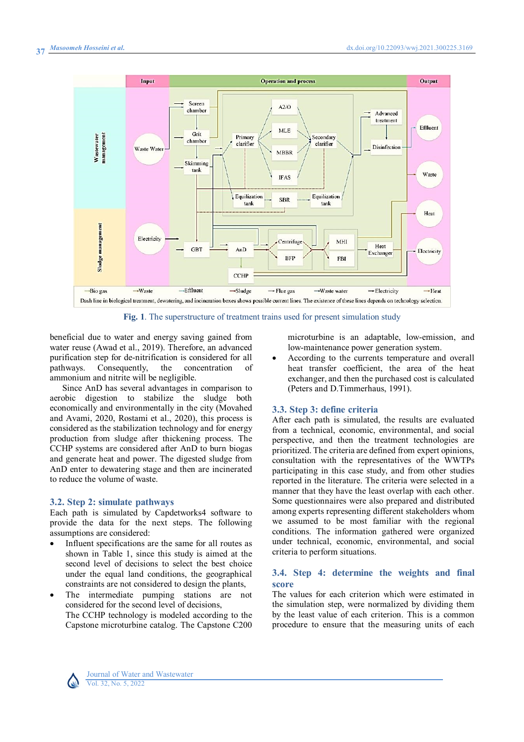

**Fig. 1**. The superstructure of treatment trains used for present simulation study

beneficial due to water and energy saving gained from water reuse (Awad et al., 2019). Therefore, an advanced purification step for de-nitrification is considered for all pathways. Consequently, the concentration of ammonium and nitrite will be negligible.

Since AnD has several advantages in comparison to aerobic digestion to stabilize the sludge both economically and environmentally in the city (Movahed and Avami, 2020, Rostami et al., 2020), this process is considered as the stabilization technology and for energy production from sludge after thickening process. The CCHP systems are considered after AnD to burn biogas and generate heat and power. The digested sludge from AnD enter to dewatering stage and then are incinerated to reduce the volume of waste.

#### **3.2. Step 2: simulate pathways**

Each path is simulated by Capdetworks4 software to provide the data for the next steps. The following assumptions are considered:

- Influent specifications are the same for all routes as shown in Table 1, since this study is aimed at the second level of decisions to select the best choice under the equal land conditions, the geographical constraints are not considered to design the plants,
- The intermediate pumping stations are not considered for the second level of decisions, The CCHP technology is modeled according to the Capstone microturbine catalog. The Capstone C200

microturbine is an adaptable, low-emission, and low-maintenance power generation system.

 According to the currents temperature and overall heat transfer coefficient, the area of the heat exchanger, and then the purchased cost is calculated (Peters and D.Timmerhaus, 1991).

#### **3.3. Step 3: define criteria**

After each path is simulated, the results are evaluated from a technical, economic, environmental, and social perspective, and then the treatment technologies are prioritized. The criteria are defined from expert opinions, consultation with the representatives of the WWTPs participating in this case study, and from other studies reported in the literature. The criteria were selected in a manner that they have the least overlap with each other. Some questionnaires were also prepared and distributed among experts representing different stakeholders whom we assumed to be most familiar with the regional conditions. The information gathered were organized under technical, economic, environmental, and social criteria to perform situations.

#### **3.4. Step 4: determine the weights and final score**

The values for each criterion which were estimated in the simulation step, were normalized by dividing them by the least value of each criterion. This is a common procedure to ensure that the measuring units of each

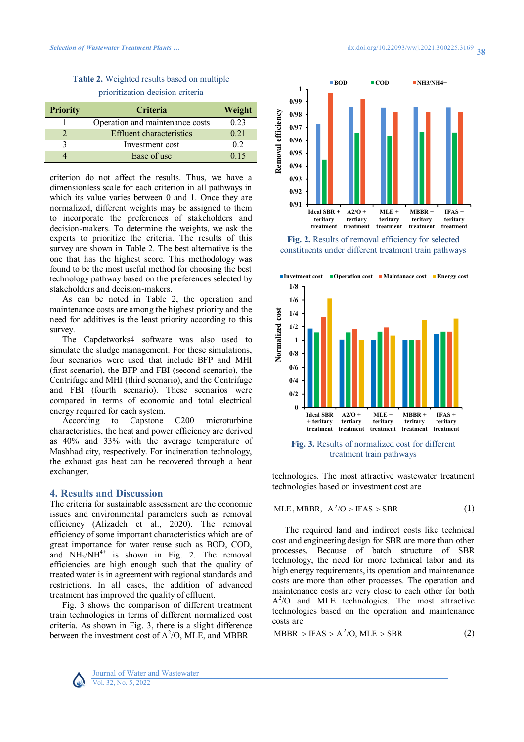## **Table 2.** Weighted results based on multiple prioritization decision criteria

| <b>Priority</b> | <b>Criteria</b>                 | Weight |  |
|-----------------|---------------------------------|--------|--|
|                 | Operation and maintenance costs | 0.23   |  |
|                 | Effluent characteristics        | 0.21   |  |
|                 | Investment cost                 | 02     |  |
|                 | Ease of use                     | 0.15   |  |

criterion do not affect the results. Thus, we have a dimensionless scale for each criterion in all pathways in which its value varies between 0 and 1. Once they are normalized, different weights may be assigned to them to incorporate the preferences of stakeholders and decision-makers. To determine the weights, we ask the experts to prioritize the criteria. The results of this survey are shown in Table 2. The best alternative is the one that has the highest score. This methodology was found to be the most useful method for choosing the best technology pathway based on the preferences selected by stakeholders and decision-makers.

As can be noted in Table 2, the operation and maintenance costs are among the highest priority and the need for additives is the least priority according to this survey.

The Capdetworks4 software was also used to simulate the sludge management. For these simulations, four scenarios were used that include BFP and MHI (first scenario), the BFP and FBI (second scenario), the Centrifuge and MHI (third scenario), and the Centrifuge and FBI (fourth scenario). These scenarios were compared in terms of economic and total electrical energy required for each system.

According to Capstone C200 microturbine characteristics, the heat and power efficiency are derived as 40% and 33% with the average temperature of Mashhad city, respectively. For incineration technology, the exhaust gas heat can be recovered through a heat exchanger.

## **4. Results and Discussion**

The criteria for sustainable assessment are the economic issues and environmental parameters such as removal efficiency (Alizadeh et al., 2020). The removal efficiency of some important characteristics which are of great importance for water reuse such as BOD, COD, and  $NH<sub>3</sub>/NH<sup>4+</sup>$  is shown in Fig. 2. The removal efficiencies are high enough such that the quality of treated water is in agreement with regional standards and restrictions. In all cases, the addition of advanced treatment has improved the quality of effluent.

Fig. 3 shows the comparison of different treatment train technologies in terms of different normalized cost criteria. As shown in Fig. 3, there is a slight difference between the investment cost of  $A^2/O$ , MLE, and MBBR



**Fig. 2.** Results of removal efficiency for selected constituents under different treatment train pathways



treatment train pathways

technologies. The most attractive wastewater treatment technologies based on investment cost are

$$
MLE, MBBR, A^2/O > IFAS > SBR
$$
 (1)

The required land and indirect costs like technical cost and engineering design for SBR are more than other processes. Because of batch structure of SBR technology, the need for more technical labor and its high energy requirements, its operation and maintenance costs are more than other processes. The operation and maintenance costs are very close to each other for both  $A^2$ /O and MLE technologies. The most attractive technologies based on the operation and maintenance costs are

$$
MBBR > IFAS > A2/O, MLE > SBR
$$
 (2)

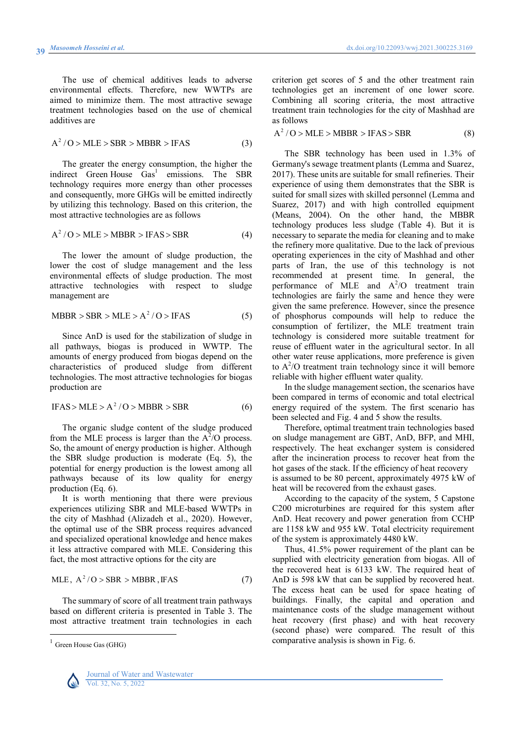The use of chemical additives leads to adverse environmental effects. Therefore, new WWTPs are aimed to minimize them. The most attractive sewage treatment technologies based on the use of chemical additives are

$$
A2/O > MLE > SBR > MBBR > IFAS
$$
 (3)

The greater the energy consumption, the higher the indirect Green House [Gas](#page-6-0)<sup>1</sup> emissions. The SBR technology requires more energy than other processes and consequently, more GHGs will be emitted indirectly by utilizing this technology. Based on this criterion, the most attractive technologies are as follows

$$
A2/O > MLE > MBBR > IFAS > SBR
$$
 (4)

The lower the amount of sludge production, the lower the cost of sludge management and the less environmental effects of sludge production. The most attractive technologies with respect to sludge management are

$$
MBBR > SBR > MLE > A^2 / O > IFAS \tag{5}
$$

Since AnD is used for the stabilization of sludge in all pathways, biogas is produced in WWTP. The amounts of energy produced from biogas depend on the characteristics of produced sludge from different technologies. The most attractive technologies for biogas production are

$$
IFAS > MLE > A2/O > MBBR > SBR
$$
 (6)

The organic sludge content of the sludge produced from the MLE process is larger than the  $A^2/O$  process. So, the amount of energy production is higher. Although the SBR sludge production is moderate (Eq. 5), the potential for energy production is the lowest among all pathways because of its low quality for energy production (Eq. 6).

It is worth mentioning that there were previous experiences utilizing SBR and MLE-based WWTPs in the city of Mashhad (Alizadeh et al., 2020). However, the optimal use of the SBR process requires advanced and specialized operational knowledge and hence makes it less attractive compared with MLE. Considering this fact, the most attractive options for the city are

$$
MLE, A2/O > SBR > MBBR, IFAS
$$
 (7)

The summary of score of all treatment train pathways based on different criteria is presented in Table 3. The most attractive treatment train technologies in each

<span id="page-6-0"></span><sup>&</sup>lt;sup>1</sup> Green House Gas (GHG)



 $\overline{a}$ 

criterion get scores of 5 and the other treatment rain technologies get an increment of one lower score. Combining all scoring criteria, the most attractive treatment train technologies for the city of Mashhad are as follows

 $A^2 / O$  > MLE > MBBR > IFAS > SBR (8)

The SBR technology has been used in 1.3% of Germany's sewage treatment plants (Lemma and Suarez, 2017). These units are suitable for small refineries. Their experience of using them demonstrates that the SBR is suited for small sizes with skilled personnel (Lemma and Suarez, 2017) and with high controlled equipment [\(Means, 2004\)](#page-9-0). On the other hand, the MBBR technology produces less sludge (Table 4). But it is necessary to separate the media for cleaning and to make the refinery more qualitative. Due to the lack of previous operating experiences in the city of Mashhad and other parts of Iran, the use of this technology is not recommended at present time. In general, the performance of MLE and  $A^2/O$  treatment train technologies are fairly the same and hence they were given the same preference. However, since the presence of phosphorus compounds will help to reduce the consumption of fertilizer, the MLE treatment train technology is considered more suitable treatment for reuse of effluent water in the agricultural sector. In all other water reuse applications, more preference is given to  $A^2$ /O treatment train technology since it will bemore reliable with higher effluent water quality.

In the sludge management section, the scenarios have been compared in terms of economic and total electrical energy required of the system. The first scenario has been selected and Fig. 4 and 5 show the results.

Therefore, optimal treatment train technologies based on sludge management are GBT, AnD, BFP, and MHI, respectively. The heat exchanger system is considered after the incineration process to recover heat from the hot gases of the stack. If the efficiency of heat recovery is assumed to be 80 percent, approximately 4975 kW of heat will be recovered from the exhaust gases.

According to the capacity of the system, 5 Capstone C200 microturbines are required for this system after AnD. Heat recovery and power generation from CCHP are 1158 kW and 955 kW. Total electricity requirement of the system is approximately 4480 kW.

Thus, 41.5% power requirement of the plant can be supplied with electricity generation from biogas. All of the recovered heat is 6133 kW. The required heat of AnD is 598 kW that can be supplied by recovered heat. The excess heat can be used for space heating of buildings. Finally, the capital and operation and maintenance costs of the sludge management without heat recovery (first phase) and with heat recovery (second phase) were compared. The result of this comparative analysis is shown in Fig. 6.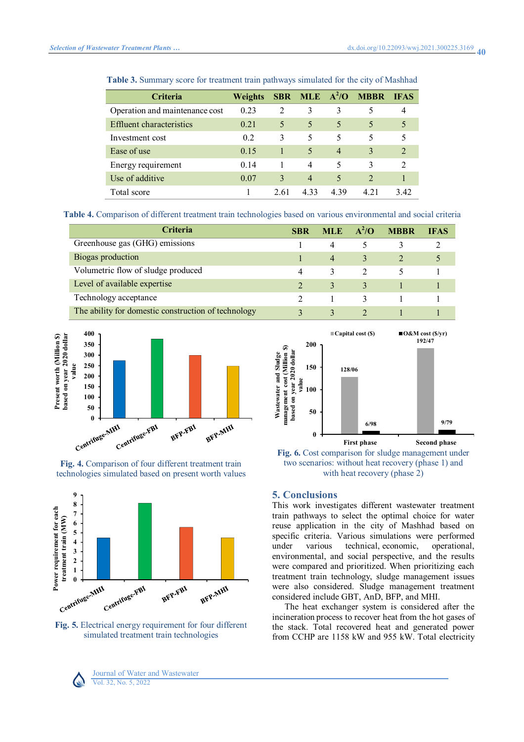| <b>Criteria</b>                 | <b>Weights</b> |      |                |                | SBR MLE $A^2$ /O MBBR | <b>IFAS</b>   |
|---------------------------------|----------------|------|----------------|----------------|-----------------------|---------------|
| Operation and maintenance cost  | 0.23           | 2    | 3              | 3              |                       | 4             |
| <b>Effluent characteristics</b> | 0.21           | 5    | 5              | 5              | 5                     | 5             |
| Investment cost                 | 0.2            | 3    | 5              | 5              | 5                     | 5             |
| Ease of use                     | 0.15           |      | 5              | $\overline{4}$ | 3                     | $\mathcal{D}$ |
| Energy requirement              | 0.14           |      | 4              | 5              | 3                     | $\mathcal{L}$ |
| Use of additive                 | 0.07           | 3    | $\overline{4}$ | 5              | $\mathcal{D}$         |               |
| Total score                     |                | 2.61 | 4.33           | 4.39           | 4 21                  | 3.42          |

**Table 3.** Summary score for treatment train pathways simulated for the city of Mashhad

**Table 4.** Comparison of different treatment train technologies based on various environmental and social criteria

| <b>Criteria</b>                                     | SBR | <b>MLE</b>     | $\overline{A^2/O}$ | <b>MBBR</b> | <b>IFAS</b> |
|-----------------------------------------------------|-----|----------------|--------------------|-------------|-------------|
| Greenhouse gas (GHG) emissions                      |     |                |                    |             |             |
| Biogas production                                   |     | $\overline{4}$ |                    |             |             |
| Volumetric flow of sludge produced                  | 4   | 3              |                    |             |             |
| Level of available expertise                        |     |                |                    |             |             |
| Technology acceptance                               |     |                |                    |             |             |
| The ability for domestic construction of technology |     |                |                    |             |             |







**Fig. 5.** Electrical energy requirement for four different simulated treatment train technologies



**Fig. 6.** Cost comparison for sludge management under two scenarios: without heat recovery (phase 1) and with heat recovery (phase 2)

#### **5. Conclusions**

This work investigates different wastewater treatment train pathways to select the optimal choice for water reuse application in the city of Mashhad based on specific criteria. Various simulations were performed under various technical, economic, operational, environmental, and social perspective, and the results were compared and prioritized. When prioritizing each treatment train technology, sludge management issues were also considered. Sludge management treatment considered include GBT, AnD, BFP, and MHI.

The heat exchanger system is considered after the incineration process to recover heat from the hot gases of the stack. Total recovered heat and generated power from CCHP are 1158 kW and 955 kW. Total electricity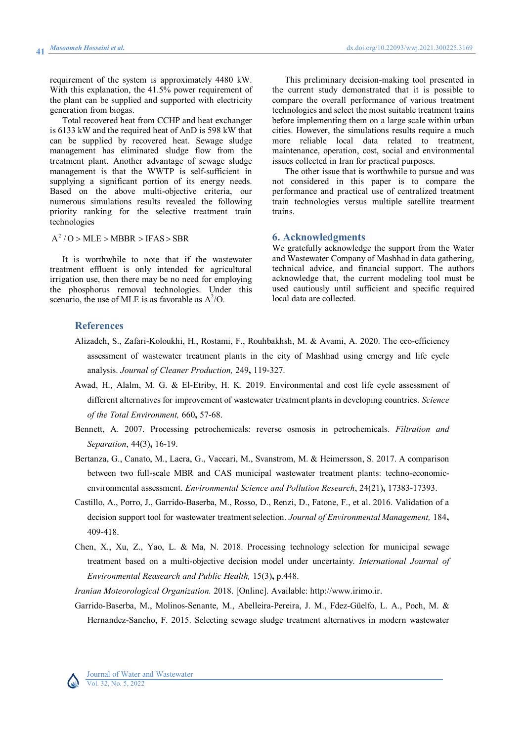requirement of the system is approximately 4480 kW. With this explanation, the 41.5% power requirement of the plant can be supplied and supported with electricity generation from biogas.

Total recovered heat from CCHP and heat exchanger is 6133 kW and the required heat of AnD is 598 kW that can be supplied by recovered heat. Sewage sludge management has eliminated sludge flow from the treatment plant. Another advantage of sewage sludge management is that the WWTP is self-sufficient in supplying a significant portion of its energy needs. Based on the above multi-objective criteria, our numerous simulations results revealed the following priority ranking for the selective treatment train technologies

 $A^2 / O$  > MLE > MBBR > IFAS > SBR

It is worthwhile to note that if the wastewater treatment effluent is only intended for agricultural irrigation use, then there may be no need for employing the phosphorus removal technologies. Under this scenario, the use of MLE is as favorable as  $A^2$ /O.

This preliminary decision-making tool presented in the current study demonstrated that it is possible to compare the overall performance of various treatment technologies and select the most suitable treatment trains before implementing them on a large scale within urban cities. However, the simulations results require a much more reliable local data related to treatment, maintenance, operation, cost, social and environmental issues collected in Iran for practical purposes.

The other issue that is worthwhile to pursue and was not considered in this paper is to compare the performance and practical use of centralized treatment train technologies versus multiple satellite treatment trains.

#### **6. Acknowledgments**

We gratefully acknowledge the support from the Water and Wastewater Company of Mashhad in data gathering, technical advice, and financial support. The authors acknowledge that, the current modeling tool must be used cautiously until sufficient and specific required local data are collected.

#### **References**

- Alizadeh, S., Zafari-Koloukhi, H., Rostami, F., Rouhbakhsh, M. & Avami, A. 2020. The eco-efficiency assessment of wastewater treatment plants in the city of Mashhad using emergy and life cycle analysis. *Journal of Cleaner Production,* 249**,** 119-327.
- Awad, H., Alalm, M. G. & El-Etriby, H. K. 2019. Environmental and cost life cycle assessment of different alternatives for improvement of wastewater treatment plants in developing countries. *Science of the Total Environment,* 660**,** 57-68.
- Bennett, A. 2007. Processing petrochemicals: reverse osmosis in petrochemicals. *Filtration and Separation*, 44(3)**,** 16-19.
- Bertanza, G., Canato, M., Laera, G., Vaccari, M., Svanstrom, M. & Heimersson, S. 2017. A comparison between two full-scale MBR and CAS municipal wastewater treatment plants: techno-economicenvironmental assessment. *Environmental Science and Pollution Research*, 24(21)**,** 17383-17393.
- Castillo, A., Porro, J., Garrido-Baserba, M., Rosso, D., Renzi, D., Fatone, F., et al. 2016. Validation of a decision support tool for wastewater treatment selection. *Journal of Environmental Management,* 184**,** 409-418.
- Chen, X., Xu, Z., Yao, L. & Ma, N. 2018. Processing technology selection for municipal sewage treatment based on a multi-objective decision model under uncertainty. *International Journal of Environmental Reasearch and Public Health,* 15(3)**,** p.448.

*Iranian Moteorological Organization.* 2018. [Online]. Available: http://www.irimo.ir.

Garrido-Baserba, M., Molinos-Senante, M., Abelleira-Pereira, J. M., Fdez-Güelfo, L. A., Poch, M. & Hernandez-Sancho, F. 2015. Selecting sewage sludge treatment alternatives in modern wastewater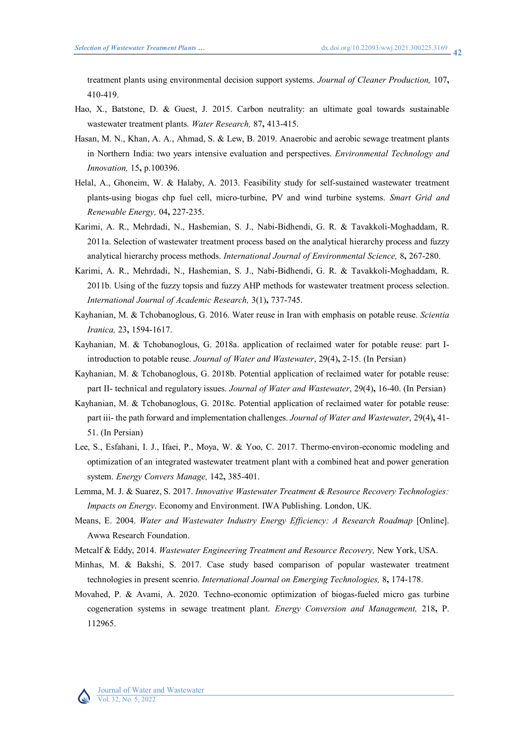treatment plants using environmental decision support systems. *Journal of Cleaner Production,* 107**,** 410-419.

- Hao, X., Batstone, D. & Guest, J. 2015. Carbon neutrality: an ultimate goal towards sustainable wastewater treatment plants. *Water Research,* 87**,** 413-415.
- Hasan, M. N., Khan, A. A., Ahmad, S. & Lew, B. 2019. Anaerobic and aerobic sewage treatment plants in Northern India: two years intensive evaluation and perspectives. *Environmental Technology and Innovation,* 15**,** p.100396.
- Helal, A., Ghoneim, W. & Halaby, A. 2013. Feasibility study for self-sustained wastewater treatment plants-using biogas chp fuel cell, micro-turbine, PV and wind turbine systems. *Smart Grid and Renewable Energy,* 04**,** 227-235.
- Karimi, A. R., Mehrdadi, N., Hashemian, S. J., Nabi-Bidhendi, G. R. & Tavakkoli-Moghaddam, R. 2011a. Selection of wastewater treatment process based on the analytical hierarchy process and fuzzy analytical hierarchy process methods. *International Journal of Environmental Science,* 8**,** 267-280.
- Karimi, A. R., Mehrdadi, N., Hashemian, S. J., Nabi-Bidhendi, G. R. & Tavakkoli-Moghaddam, R. 2011b. Using of the fuzzy topsis and fuzzy AHP methods for wastewater treatment process selection. *International Journal of Academic Research,* 3(1)**,** 737-745.
- Kayhanian, M. & Tchobanoglous, G. 2016. Water reuse in Iran with emphasis on potable reuse. *Scientia Iranica,* 23**,** 1594-1617.
- Kayhanian, M. & Tchobanoglous, G. 2018a. application of reclaimed water for potable reuse: part Iintroduction to potable reuse. *Journal of Water and Wastewater*, 29(4)**,** 2-15. (In Persian)
- Kayhanian, M. & Tchobanoglous, G. 2018b. Potential application of reclaimed water for potable reuse: part II- technical and regulatory issues. *Journal of Water and Wastewater*, 29(4)**,** 16-40. (In Persian)
- Kayhanian, M. & Tchobanoglous, G. 2018c. Potential application of reclaimed water for potable reuse: part iii- the path forward and implementation challenges. *Journal of Water and Wastewater*, 29(4)**,** 41- 51. (In Persian)
- Lee, S., Esfahani, I. J., Ifaei, P., Moya, W. & Yoo, C. 2017. Thermo-environ-economic modeling and optimization of an integrated wastewater treatment plant with a combined heat and power generation system. *Energy Convers Manage,* 142**,** 385-401.
- Lemma, M. J. & Suarez, S. 2017. *Innovative Wastewater Treatment & Resource Recovery Technologies: Impacts on Energy*. Economy and Environment. IWA Publishing. London, UK.
- <span id="page-9-0"></span>Means, E. 2004. *Water and Wastewater Industry Energy Efficiency: A Research Roadmap* [Online]. Awwa Research Foundation.
- Metcalf & Eddy, 2014. *Wastewater Engineering Treatment and Resource Recovery,* New York, USA.
- Minhas, M. & Bakshi, S. 2017. Case study based comparison of popular wastewater treatment technologies in present scenrio. *International Journal on Emerging Technologies,* 8**,** 174-178.
- Movahed, P. & Avami, A. 2020. Techno-economic optimization of biogas-fueled micro gas turbine cogeneration systems in sewage treatment plant. *Energy Conversion and Management,* 218**,** P. 112965.